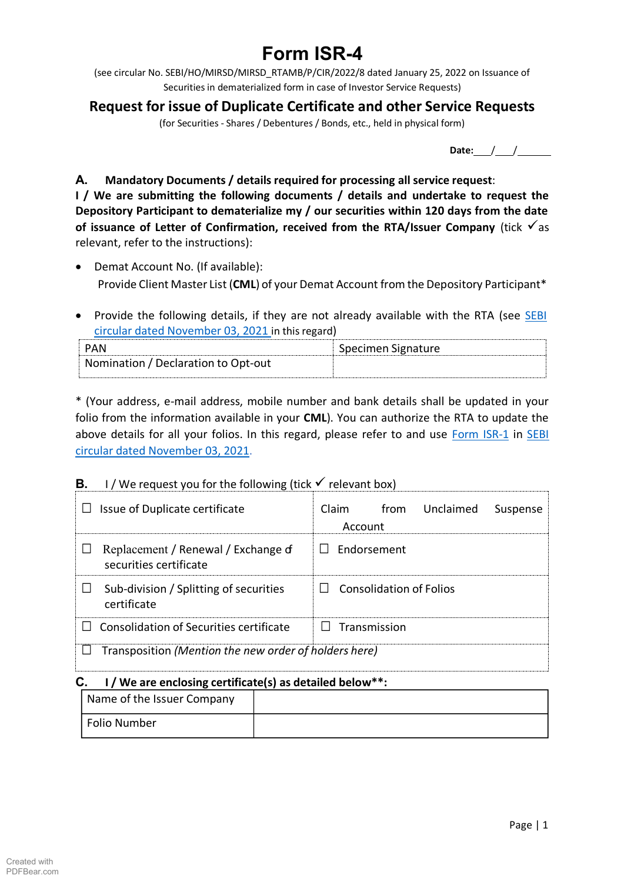# **Form ISR-4**

(see circular No. SEBI/HO/MIRSD/MIRSD\_RTAMB/P/CIR/2022/8 dated January 25, 2022 on Issuance of Securities in dematerialized form in case of Investor Service Requests)

## **Request for issue of Duplicate Certificate and other Service Requests**

(for Securities - Shares / Debentures / Bonds, etc., held in physical form)

**Date:** / /

## **A. Mandatory Documents / details required for processing all service request**:

**I / We are submitting the following documents / details and undertake to request the Depository Participant to dematerialize my / our securities within 120 days from the date of issuance of Letter of Confirmation, received from the RTA/Issuer Company** (tick √as relevant, refer to the instructions):

- Demat Account No. (If available): Provide Client Master List (**CML**) of your Demat Account from the Depository Participant\*
- Provide the following details, if they are not already available with the RTA (see [SEBI](https://www.sebi.gov.in/legal/circulars/nov-2021/common-and-simplified-norms-for-processing-investor-s-service-request-by-rtas-and-norms-for-furnishing-pan-kyc-details-and-nomination_53787.html) [circular dated November](https://www.sebi.gov.in/legal/circulars/nov-2021/common-and-simplified-norms-for-processing-investor-s-service-request-by-rtas-and-norms-for-furnishing-pan-kyc-details-and-nomination_53787.html) 03, 2021 in this regard)

|                                     | Specimen Signature |
|-------------------------------------|--------------------|
| Nomination / Declaration to Opt-out |                    |
|                                     |                    |

\* (Your address, e-mail address, mobile number and bank details shall be updated in your folio from the information available in your **CML**). You can authorize the RTA to update the above details for all your folios. In this regard, please refer to and use [Form ISR-1](https://www.sebi.gov.in/sebi_data/commondocs/dec-2021/pdf%20Form%20ISR-1%20(1)_p.pdf) in [SEBI](https://www.sebi.gov.in/legal/circulars/nov-2021/common-and-simplified-norms-for-processing-investor-s-service-request-by-rtas-and-norms-for-furnishing-pan-kyc-details-and-nomination_53787.html) [circular dated November](https://www.sebi.gov.in/legal/circulars/nov-2021/common-and-simplified-norms-for-processing-investor-s-service-request-by-rtas-and-norms-for-furnishing-pan-kyc-details-and-nomination_53787.html) 03, 2021.

## **B.** I / We request you for the following (tick  $\checkmark$  relevant box)

| Issue of Duplicate certificate                                | Claim<br>Unclaimed<br>from<br>Suspense<br>Account |  |
|---------------------------------------------------------------|---------------------------------------------------|--|
| Replacement / Renewal / Exchange of<br>securities certificate | Endorsement                                       |  |
| Sub-division / Splitting of securities<br>certificate         | Consolidation of Folios<br>$\mathsf{L}$           |  |
| Consolidation of Securities certificate                       | Transmission                                      |  |
| Transposition (Mention the new order of holders here)         |                                                   |  |

#### **C. I / We are enclosing certificate(s) as detailed below\*\*:**

| Name of the Issuer Company |  |
|----------------------------|--|
| Folio Number               |  |